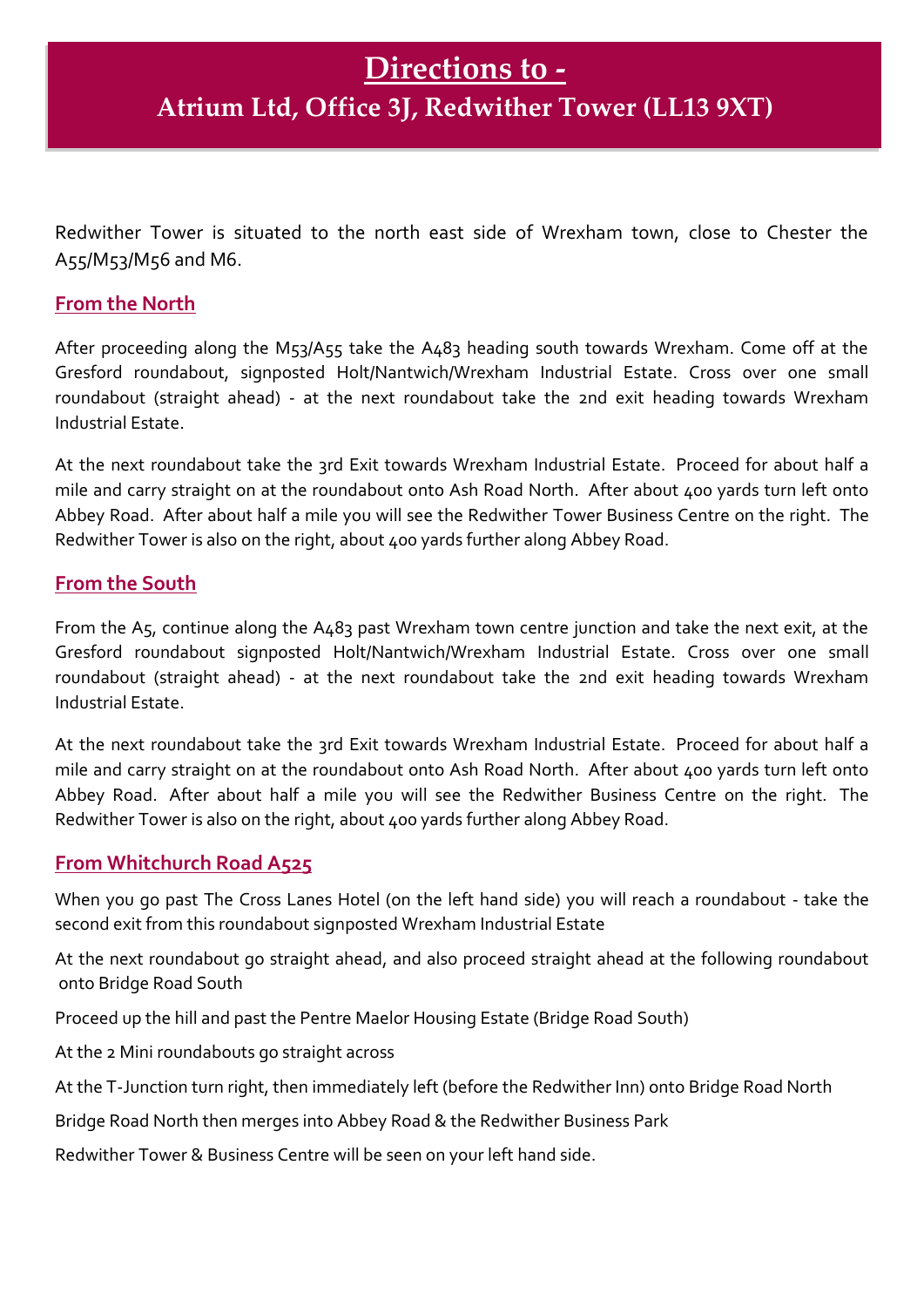Redwither Tower is situated to the north east side of Wrexham town, close to Chester the A55/M53/M56 and M6.

## **From the North**

After proceeding along the M53/A55 take the A483 heading south towards Wrexham. Come off at the Gresford roundabout, signposted Holt/Nantwich/Wrexham Industrial Estate. Cross over one small roundabout (straight ahead) - at the next roundabout take the 2nd exit heading towards Wrexham Industrial Estate.

At the next roundabout take the 3rd Exit towards Wrexham Industrial Estate. Proceed for about half a mile and carry straight on at the roundabout onto Ash Road North. After about 400 yards turn left onto Abbey Road. After about half a mile you will see the Redwither Tower Business Centre on the right. The Redwither Tower is also on the right, about 400 yards further along Abbey Road.

## **From the South**

From the A5, continue along the A483 past Wrexham town centre junction and take the next exit, at the Gresford roundabout signposted Holt/Nantwich/Wrexham Industrial Estate. Cross over one small roundabout (straight ahead) - at the next roundabout take the 2nd exit heading towards Wrexham Industrial Estate.

At the next roundabout take the 3rd Exit towards Wrexham Industrial Estate. Proceed for about half a mile and carry straight on at the roundabout onto Ash Road North. After about 400 yards turn left onto Abbey Road. After about half a mile you will see the Redwither Business Centre on the right. The Redwither Tower is also on the right, about 400 yards further along Abbey Road.

## **From Whitchurch Road A525**

When you go past The Cross Lanes Hotel (on the left hand side) you will reach a roundabout - take the second exit from this roundabout signposted Wrexham Industrial Estate

At the next roundabout go straight ahead, and also proceed straight ahead at the following roundabout onto Bridge Road South

Proceed up the hill and past the Pentre Maelor Housing Estate (Bridge Road South)

At the 2 Mini roundabouts go straight across

At the T-Junction turn right, then immediately left (before the Redwither Inn) onto Bridge Road North

Bridge Road North then merges into Abbey Road & the Redwither Business Park

Redwither Tower & Business Centre will be seen on your left hand side.